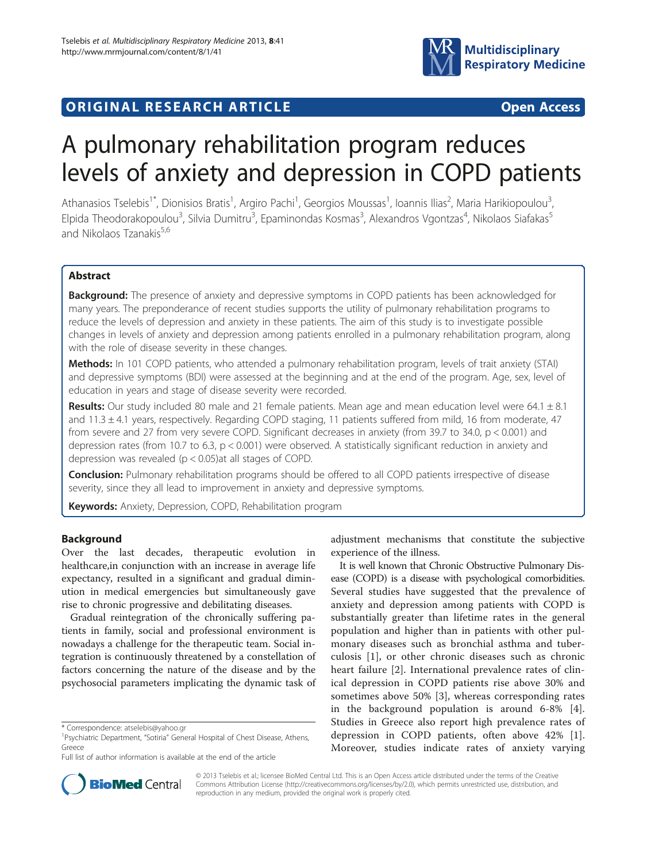

# **ORIGINAL RESEARCH ARTICLE CONSUMING ACCESS**

# A pulmonary rehabilitation program reduces levels of anxiety and depression in COPD patients

Athanasios Tselebis<sup>1\*</sup>, Dionisios Bratis<sup>1</sup>, Argiro Pachi<sup>1</sup>, Georgios Moussas<sup>1</sup>, Ioannis Ilias<sup>2</sup>, Maria Harikiopoulou<sup>3</sup> , Elpida Theodorakopoulou<sup>3</sup>, Silvia Dumitru<sup>3</sup>, Epaminondas Kosmas<sup>3</sup>, Alexandros Vgontzas<sup>4</sup>, Nikolaos Siafakas<sup>5</sup> and Nikolaos Tzanakis<sup>5,6</sup>

# Abstract

**Background:** The presence of anxiety and depressive symptoms in COPD patients has been acknowledged for many years. The preponderance of recent studies supports the utility of pulmonary rehabilitation programs to reduce the levels of depression and anxiety in these patients. The aim of this study is to investigate possible changes in levels of anxiety and depression among patients enrolled in a pulmonary rehabilitation program, along with the role of disease severity in these changes.

Methods: In 101 COPD patients, who attended a pulmonary rehabilitation program, levels of trait anxiety (STAI) and depressive symptoms (BDI) were assessed at the beginning and at the end of the program. Age, sex, level of education in years and stage of disease severity were recorded.

Results: Our study included 80 male and 21 female patients. Mean age and mean education level were 64.1  $\pm$  8.1 and 11.3 ± 4.1 years, respectively. Regarding COPD staging, 11 patients suffered from mild, 16 from moderate, 47 from severe and 27 from very severe COPD. Significant decreases in anxiety (from 39.7 to 34.0, p < 0.001) and depression rates (from 10.7 to 6.3, p < 0.001) were observed. A statistically significant reduction in anxiety and depression was revealed (p < 0.05)at all stages of COPD.

**Conclusion:** Pulmonary rehabilitation programs should be offered to all COPD patients irrespective of disease severity, since they all lead to improvement in anxiety and depressive symptoms.

Keywords: Anxiety, Depression, COPD, Rehabilitation program

# Background

Over the last decades, therapeutic evolution in healthcare,in conjunction with an increase in average life expectancy, resulted in a significant and gradual diminution in medical emergencies but simultaneously gave rise to chronic progressive and debilitating diseases.

Gradual reintegration of the chronically suffering patients in family, social and professional environment is nowadays a challenge for the therapeutic team. Social integration is continuously threatened by a constellation of factors concerning the nature of the disease and by the psychosocial parameters implicating the dynamic task of

adjustment mechanisms that constitute the subjective experience of the illness.

It is well known that Chronic Obstructive Pulmonary Disease (COPD) is a disease with psychological comorbidities. Several studies have suggested that the prevalence of anxiety and depression among patients with COPD is substantially greater than lifetime rates in the general population and higher than in patients with other pulmonary diseases such as bronchial asthma and tuberculosis [[1\]](#page-5-0), or other chronic diseases such as chronic heart failure [\[2](#page-5-0)]. International prevalence rates of clinical depression in COPD patients rise above 30% and sometimes above 50% [[3](#page-5-0)], whereas corresponding rates in the background population is around 6-8% [[4](#page-5-0)]. Studies in Greece also report high prevalence rates of depression in COPD patients, often above 42% [\[1](#page-5-0)]. Moreover, studies indicate rates of anxiety varying



© 2013 Tselebis et al.; licensee BioMed Central Ltd. This is an Open Access article distributed under the terms of the Creative Commons Attribution License [\(http://creativecommons.org/licenses/by/2.0\)](http://creativecommons.org/licenses/by/2.0), which permits unrestricted use, distribution, and reproduction in any medium, provided the original work is properly cited.

<sup>\*</sup> Correspondence: [atselebis@yahoo.gr](mailto:atselebis@yahoo.gr) <sup>1</sup>

<sup>&</sup>lt;sup>1</sup>Psychiatric Department, "Sotiria" General Hospital of Chest Disease, Athens, Greece

Full list of author information is available at the end of the article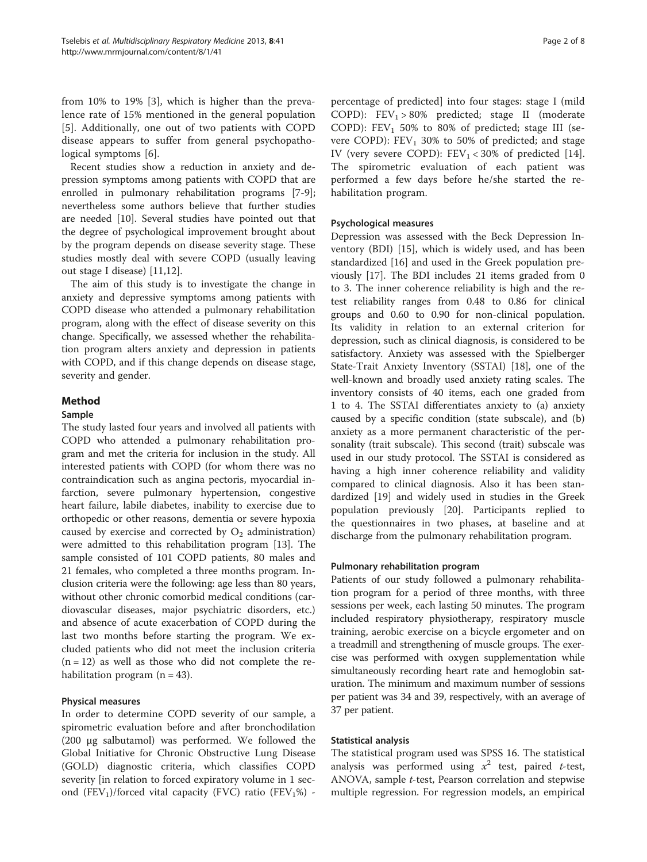from 10% to 19% [[3](#page-5-0)], which is higher than the prevalence rate of 15% mentioned in the general population [[5\]](#page-5-0). Additionally, one out of two patients with COPD disease appears to suffer from general psychopathological symptoms [\[6](#page-5-0)].

Recent studies show a reduction in anxiety and depression symptoms among patients with COPD that are enrolled in pulmonary rehabilitation programs [[7-9](#page-5-0)]; nevertheless some authors believe that further studies are needed [[10\]](#page-5-0). Several studies have pointed out that the degree of psychological improvement brought about by the program depends on disease severity stage. These studies mostly deal with severe COPD (usually leaving out stage I disease) [[11,12\]](#page-5-0).

The aim of this study is to investigate the change in anxiety and depressive symptoms among patients with COPD disease who attended a pulmonary rehabilitation program, along with the effect of disease severity on this change. Specifically, we assessed whether the rehabilitation program alters anxiety and depression in patients with COPD, and if this change depends on disease stage, severity and gender.

# Method

#### Sample

The study lasted four years and involved all patients with COPD who attended a pulmonary rehabilitation program and met the criteria for inclusion in the study. All interested patients with COPD (for whom there was no contraindication such as angina pectoris, myocardial infarction, severe pulmonary hypertension, congestive heart failure, labile diabetes, inability to exercise due to orthopedic or other reasons, dementia or severe hypoxia caused by exercise and corrected by  $O_2$  administration) were admitted to this rehabilitation program [[13\]](#page-5-0). The sample consisted of 101 COPD patients, 80 males and 21 females, who completed a three months program. Inclusion criteria were the following: age less than 80 years, without other chronic comorbid medical conditions (cardiovascular diseases, major psychiatric disorders, etc.) and absence of acute exacerbation of COPD during the last two months before starting the program. We excluded patients who did not meet the inclusion criteria  $(n = 12)$  as well as those who did not complete the rehabilitation program  $(n = 43)$ .

# Physical measures

In order to determine COPD severity of our sample, a spirometric evaluation before and after bronchodilation (200 μg salbutamol) was performed. We followed the Global Initiative for Chronic Obstructive Lung Disease (GOLD) diagnostic criteria, which classifies COPD severity [in relation to forced expiratory volume in 1 second  $(FEV_1)/$ forced vital capacity (FVC) ratio (FEV<sub>1</sub>%) -

percentage of predicted] into four stages: stage I (mild COPD):  $FEV_1 > 80\%$  predicted; stage II (moderate COPD):  $FEV_1$  50% to 80% of predicted; stage III (severe COPD):  $FEV<sub>1</sub>$  30% to 50% of predicted; and stage IV (very severe COPD):  $FEV_1 < 30\%$  of predicted [\[14](#page-5-0)]. The spirometric evaluation of each patient was performed a few days before he/she started the rehabilitation program.

#### Psychological measures

Depression was assessed with the Beck Depression Inventory (BDI) [\[15](#page-5-0)], which is widely used, and has been standardized [[16\]](#page-5-0) and used in the Greek population previously [\[17](#page-6-0)]. The BDI includes 21 items graded from 0 to 3. The inner coherence reliability is high and the retest reliability ranges from 0.48 to 0.86 for clinical groups and 0.60 to 0.90 for non-clinical population. Its validity in relation to an external criterion for depression, such as clinical diagnosis, is considered to be satisfactory. Anxiety was assessed with the Spielberger State-Trait Anxiety Inventory (SSTAI) [[18\]](#page-6-0), one of the well-known and broadly used anxiety rating scales. The inventory consists of 40 items, each one graded from 1 to 4. The SSTAI differentiates anxiety to (a) anxiety caused by a specific condition (state subscale), and (b) anxiety as a more permanent characteristic of the personality (trait subscale). This second (trait) subscale was used in our study protocol. The SSTAI is considered as having a high inner coherence reliability and validity compared to clinical diagnosis. Also it has been standardized [\[19](#page-6-0)] and widely used in studies in the Greek population previously [[20](#page-6-0)]. Participants replied to the questionnaires in two phases, at baseline and at discharge from the pulmonary rehabilitation program.

#### Pulmonary rehabilitation program

Patients of our study followed a pulmonary rehabilitation program for a period of three months, with three sessions per week, each lasting 50 minutes. The program included respiratory physiotherapy, respiratory muscle training, aerobic exercise on a bicycle ergometer and on a treadmill and strengthening of muscle groups. The exercise was performed with oxygen supplementation while simultaneously recording heart rate and hemoglobin saturation. The minimum and maximum number of sessions per patient was 34 and 39, respectively, with an average of 37 per patient.

#### Statistical analysis

The statistical program used was SPSS 16. The statistical analysis was performed using  $x^2$  test, paired *t*-test, ANOVA, sample t-test, Pearson correlation and stepwise multiple regression. For regression models, an empirical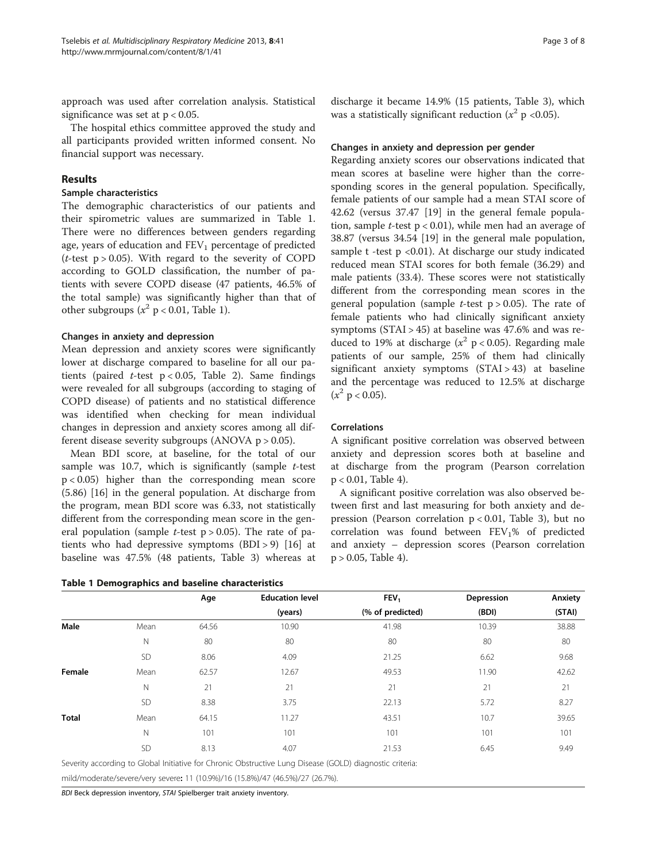approach was used after correlation analysis. Statistical significance was set at  $p < 0.05$ .

The hospital ethics committee approved the study and all participants provided written informed consent. No financial support was necessary.

## **Results**

#### Sample characteristics

The demographic characteristics of our patients and their spirometric values are summarized in Table 1. There were no differences between genders regarding age, years of education and  $FEV<sub>1</sub>$  percentage of predicted (*t*-test  $p > 0.05$ ). With regard to the severity of COPD according to GOLD classification, the number of patients with severe COPD disease (47 patients, 46.5% of the total sample) was significantly higher than that of other subgroups  $(x^2 p < 0.01$ , Table 1).

### Changes in anxiety and depression

Mean depression and anxiety scores were significantly lower at discharge compared to baseline for all our patients (paired *t*-test  $p < 0.05$ , Table [2\)](#page-3-0). Same findings were revealed for all subgroups (according to staging of COPD disease) of patients and no statistical difference was identified when checking for mean individual changes in depression and anxiety scores among all different disease severity subgroups (ANOVA p > 0.05).

Mean BDI score, at baseline, for the total of our sample was 10.7, which is significantly (sample  $t$ -test  $p < 0.05$ ) higher than the corresponding mean score (5.86) [[16\]](#page-5-0) in the general population. At discharge from the program, mean BDI score was 6.33, not statistically different from the corresponding mean score in the general population (sample *t*-test  $p > 0.05$ ). The rate of patients who had depressive symptoms  $(BDI > 9)$  [\[16\]](#page-5-0) at baseline was 47.5% (48 patients, Table [3\)](#page-3-0) whereas at

| Table 1 Demographics and baseline characteristics |  |  |  |
|---------------------------------------------------|--|--|--|
|---------------------------------------------------|--|--|--|

discharge it became 14.9% (15 patients, Table [3\)](#page-3-0), which was a statistically significant reduction ( $x^2$  p <0.05).

#### Changes in anxiety and depression per gender

Regarding anxiety scores our observations indicated that mean scores at baseline were higher than the corresponding scores in the general population. Specifically, female patients of our sample had a mean STAI score of 42.62 (versus 37.47 [[19\]](#page-6-0) in the general female population, sample *t*-test  $p < 0.01$ ), while men had an average of 38.87 (versus 34.54 [\[19\]](#page-6-0) in the general male population, sample  $t$  -test  $p < 0.01$ ). At discharge our study indicated reduced mean STAI scores for both female (36.29) and male patients (33.4). These scores were not statistically different from the corresponding mean scores in the general population (sample *t*-test  $p > 0.05$ ). The rate of female patients who had clinically significant anxiety symptoms  $(STAI > 45)$  at baseline was 47.6% and was reduced to 19% at discharge ( $x^2$  p < 0.05). Regarding male patients of our sample, 25% of them had clinically significant anxiety symptoms (STAI > 43) at baseline and the percentage was reduced to 12.5% at discharge  $(x^2 \text{ p} < 0.05)$ .

#### Correlations

A significant positive correlation was observed between anxiety and depression scores both at baseline and at discharge from the program (Pearson correlation p < 0.01, Table [4\)](#page-4-0).

A significant positive correlation was also observed between first and last measuring for both anxiety and depression (Pearson correlation p < 0.01, Table [3](#page-3-0)), but no correlation was found between  $FEV<sub>1</sub>%$  of predicted and anxiety – depression scores (Pearson correlation p > 0.05, Table [4\)](#page-4-0).

|              |           | Age   | <b>Education level</b> | FEV <sub>1</sub> | Depression | Anxiety |
|--------------|-----------|-------|------------------------|------------------|------------|---------|
|              |           |       | (years)                | (% of predicted) | (BDI)      | (STAI)  |
| Male         | Mean      | 64.56 | 10.90                  | 41.98            | 10.39      | 38.88   |
|              | Ν         | 80    | 80                     | 80               | 80         | 80      |
|              | <b>SD</b> | 8.06  | 4.09                   | 21.25            | 6.62       | 9.68    |
| Female       | Mean      | 62.57 | 12.67                  | 49.53            | 11.90      | 42.62   |
|              | Ν         | 21    | 21                     | 21               | 21         | 21      |
|              | <b>SD</b> | 8.38  | 3.75                   | 22.13            | 5.72       | 8.27    |
| <b>Total</b> | Mean      | 64.15 | 11.27                  | 43.51            | 10.7       | 39.65   |
|              | N         | 101   | 101                    | 101              | 101        | 101     |
|              | <b>SD</b> | 8.13  | 4.07                   | 21.53            | 6.45       | 9.49    |

Severity according to Global Initiative for Chronic Obstructive Lung Disease (GOLD) diagnostic criteria:

mild/moderate/severe/very severe: 11 (10.9%)/16 (15.8%)/47 (46.5%)/27 (26.7%).

BDI Beck depression inventory, STAI Spielberger trait anxiety inventory.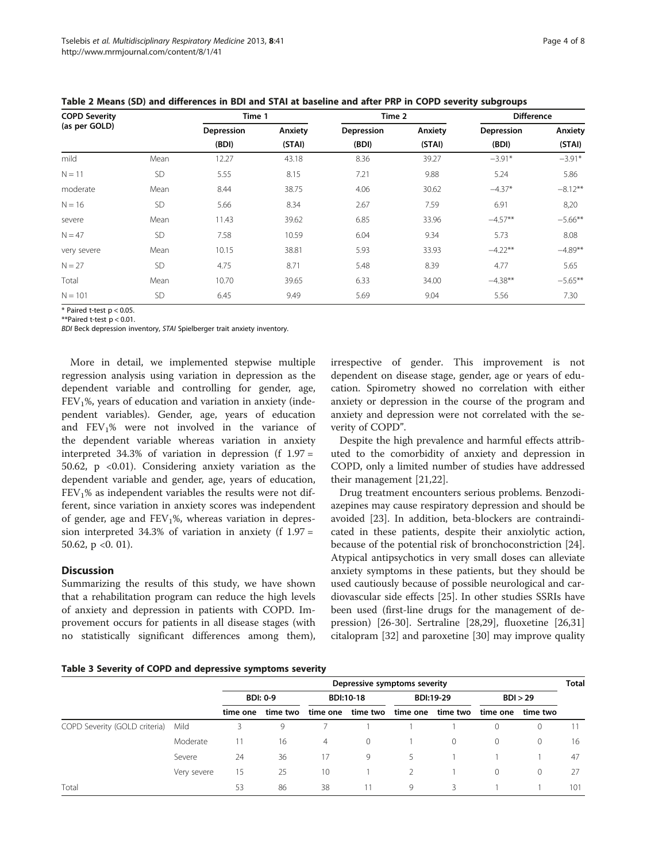| <b>COPD Severity</b> |           | Time 1     |         | Time 2     |         | <b>Difference</b> |            |  |
|----------------------|-----------|------------|---------|------------|---------|-------------------|------------|--|
| (as per GOLD)        |           | Depression | Anxiety | Depression | Anxiety | Depression        | Anxiety    |  |
|                      |           | (BDI)      | (STAI)  | (BDI)      | (STAI)  | (BDI)             | (STAI)     |  |
| mild                 | Mean      | 12.27      | 43.18   | 8.36       | 39.27   | $-3.91*$          | $-3.91*$   |  |
| $N = 11$             | <b>SD</b> | 5.55       | 8.15    | 7.21       | 9.88    | 5.24              | 5.86       |  |
| moderate             | Mean      | 8.44       | 38.75   | 4.06       | 30.62   | $-4.37*$          | $-8.12***$ |  |
| $N = 16$             | <b>SD</b> | 5.66       | 8.34    | 2.67       | 7.59    | 6.91              | 8,20       |  |
| severe               | Mean      | 11.43      | 39.62   | 6.85       | 33.96   | $-4.57**$         | $-5.66***$ |  |
| $N = 47$             | <b>SD</b> | 7.58       | 10.59   | 6.04       | 9.34    | 5.73              | 8.08       |  |
| very severe          | Mean      | 10.15      | 38.81   | 5.93       | 33.93   | $-4.22**$         | $-4.89**$  |  |
| $N = 27$             | <b>SD</b> | 4.75       | 8.71    | 5.48       | 8.39    | 4.77              | 5.65       |  |
| Total                | Mean      | 10.70      | 39.65   | 6.33       | 34.00   | $-4.38**$         | $-5.65***$ |  |
| $N = 101$            | <b>SD</b> | 6.45       | 9.49    | 5.69       | 9.04    | 5.56              | 7.30       |  |

<span id="page-3-0"></span>Table 2 Means (SD) and differences in BDI and STAI at baseline and after PRP in COPD severity subgroups

 $*$  Paired t-test  $p < 0.05$ .

\*\*Paired t-test p < 0.01.

BDI Beck depression inventory, STAI Spielberger trait anxiety inventory.

More in detail, we implemented stepwise multiple regression analysis using variation in depression as the dependent variable and controlling for gender, age,  $FEV<sub>1</sub>$ %, years of education and variation in anxiety (independent variables). Gender, age, years of education and  $FEV<sub>1</sub>%$  were not involved in the variance of the dependent variable whereas variation in anxiety interpreted  $34.3\%$  of variation in depression (f  $1.97 =$ 50.62,  $p \leq 0.01$ ). Considering anxiety variation as the dependent variable and gender, age, years of education,  $FEV<sub>1</sub>%$  as independent variables the results were not different, since variation in anxiety scores was independent of gender, age and  $FEV<sub>1</sub>%$ , whereas variation in depression interpreted  $34.3\%$  of variation in anxiety (f  $1.97 =$ 50.62,  $p \le 0.01$ ).

#### **Discussion**

Summarizing the results of this study, we have shown that a rehabilitation program can reduce the high levels of anxiety and depression in patients with COPD. Improvement occurs for patients in all disease stages (with no statistically significant differences among them), irrespective of gender. This improvement is not dependent on disease stage, gender, age or years of education. Spirometry showed no correlation with either anxiety or depression in the course of the program and anxiety and depression were not correlated with the severity of COPD".

Despite the high prevalence and harmful effects attributed to the comorbidity of anxiety and depression in COPD, only a limited number of studies have addressed their management [[21](#page-6-0),[22](#page-6-0)].

Drug treatment encounters serious problems. Benzodiazepines may cause respiratory depression and should be avoided [[23\]](#page-6-0). In addition, beta-blockers are contraindicated in these patients, despite their anxiolytic action, because of the potential risk of bronchoconstriction [\[24](#page-6-0)]. Atypical antipsychotics in very small doses can alleviate anxiety symptoms in these patients, but they should be used cautiously because of possible neurological and cardiovascular side effects [\[25](#page-6-0)]. In other studies SSRIs have been used (first-line drugs for the management of depression) [\[26](#page-6-0)-[30\]](#page-6-0). Sertraline [\[28,29\]](#page-6-0), fluoxetine [[26](#page-6-0),[31](#page-6-0)] citalopram [[32](#page-6-0)] and paroxetine [\[30\]](#page-6-0) may improve quality

Table 3 Severity of COPD and depressive symptoms severity

|                               |             | Depressive symptoms severity |          |                  |              |                  |          | <b>Total</b> |                  |     |
|-------------------------------|-------------|------------------------------|----------|------------------|--------------|------------------|----------|--------------|------------------|-----|
|                               |             | <b>BDI: 0-9</b>              |          | <b>BDI:10-18</b> |              | <b>BDI:19-29</b> |          | BDI > 29     |                  |     |
|                               |             | time one                     | time two | time one         | time two     | time one         | time two | time one     | time two         |     |
| COPD Severity (GOLD criteria) | Mild        | 3                            | 9        |                  |              |                  |          | 0            | $\left( \right)$ |     |
|                               | Moderate    | 11                           | 16       | 4                | $\mathbf{0}$ |                  | $\Omega$ | $\mathbf{0}$ | $\mathbf 0$      | 16  |
|                               | Severe      | 24                           | 36       | 17               | 9            | 5.               |          |              |                  | 47  |
|                               | Very severe | 15                           | 25       | 10               |              |                  |          | $\Omega$     | $\mathbf{0}$     | 27  |
| Total                         |             | 53                           | 86       | 38               |              | 9                | 3        |              |                  | 101 |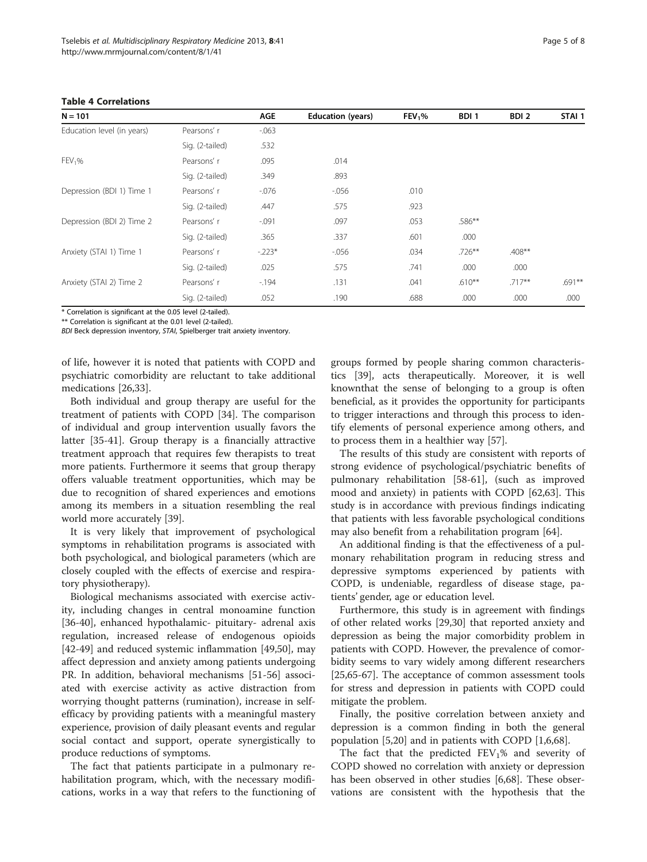| $N = 101$                  |                 | <b>AGE</b> | <b>Education (years)</b> | FEV <sub>1</sub> % | BDI <sub>1</sub> | BDI <sub>2</sub> | STAI <sub>1</sub> |
|----------------------------|-----------------|------------|--------------------------|--------------------|------------------|------------------|-------------------|
| Education level (in years) | Pearsons' r     | $-063$     |                          |                    |                  |                  |                   |
|                            | Sig. (2-tailed) | .532       |                          |                    |                  |                  |                   |
| FEV <sub>1</sub> %         | Pearsons' r     | .095       | .014                     |                    |                  |                  |                   |
|                            | Sig. (2-tailed) | .349       | .893                     |                    |                  |                  |                   |
| Depression (BDI 1) Time 1  | Pearsons' r     | $-0.076$   | $-0.056$                 | .010               |                  |                  |                   |
|                            | Sig. (2-tailed) | .447       | .575                     | .923               |                  |                  |                   |
| Depression (BDI 2) Time 2  | Pearsons' r     | $-.091$    | .097                     | .053               | .586**           |                  |                   |
|                            | Sig. (2-tailed) | .365       | .337                     | .601               | .000             |                  |                   |
| Anxiety (STAI 1) Time 1    | Pearsons' r     | $-223*$    | $-0.056$                 | .034               | $.726***$        | .408**           |                   |
|                            | Sig. (2-tailed) | .025       | .575                     | .741               | .000             | .000             |                   |
| Anxiety (STAI 2) Time 2    | Pearsons' r     | $-194$     | .131                     | .041               | $.610***$        | $.717***$        | $.691***$         |
|                            | Sig. (2-tailed) | .052       | .190                     | .688               | .000             | .000             | .000              |

#### <span id="page-4-0"></span>Table 4 Correlations

\* Correlation is significant at the 0.05 level (2-tailed).

\*\* Correlation is significant at the 0.01 level (2-tailed).

BDI Beck depression inventory, STAI, Spielberger trait anxiety inventory.

of life, however it is noted that patients with COPD and psychiatric comorbidity are reluctant to take additional medications [[26,33\]](#page-6-0).

Both individual and group therapy are useful for the treatment of patients with COPD [[34\]](#page-6-0). The comparison of individual and group intervention usually favors the latter [[35-41](#page-6-0)]. Group therapy is a financially attractive treatment approach that requires few therapists to treat more patients. Furthermore it seems that group therapy offers valuable treatment opportunities, which may be due to recognition of shared experiences and emotions among its members in a situation resembling the real world more accurately [[39](#page-6-0)].

It is very likely that improvement of psychological symptoms in rehabilitation programs is associated with both psychological, and biological parameters (which are closely coupled with the effects of exercise and respiratory physiotherapy).

Biological mechanisms associated with exercise activity, including changes in central monoamine function [[36-40](#page-6-0)], enhanced hypothalamic- pituitary- adrenal axis regulation, increased release of endogenous opioids [[42-49](#page-6-0)] and reduced systemic inflammation [\[49,50\]](#page-6-0), may affect depression and anxiety among patients undergoing PR. In addition, behavioral mechanisms [\[51-56](#page-6-0)] associated with exercise activity as active distraction from worrying thought patterns (rumination), increase in selfefficacy by providing patients with a meaningful mastery experience, provision of daily pleasant events and regular social contact and support, operate synergistically to produce reductions of symptoms.

The fact that patients participate in a pulmonary rehabilitation program, which, with the necessary modifications, works in a way that refers to the functioning of

groups formed by people sharing common characteristics [\[39](#page-6-0)], acts therapeutically. Moreover, it is well knownthat the sense of belonging to a group is often beneficial, as it provides the opportunity for participants to trigger interactions and through this process to identify elements of personal experience among others, and to process them in a healthier way [\[57\]](#page-6-0).

The results of this study are consistent with reports of strong evidence of psychological/psychiatric benefits of pulmonary rehabilitation [\[58](#page-6-0)-[61\]](#page-6-0), (such as improved mood and anxiety) in patients with COPD [[62,63](#page-6-0)]. This study is in accordance with previous findings indicating that patients with less favorable psychological conditions may also benefit from a rehabilitation program [[64\]](#page-6-0).

An additional finding is that the effectiveness of a pulmonary rehabilitation program in reducing stress and depressive symptoms experienced by patients with COPD, is undeniable, regardless of disease stage, patients' gender, age or education level.

Furthermore, this study is in agreement with findings of other related works [\[29,30\]](#page-6-0) that reported anxiety and depression as being the major comorbidity problem in patients with COPD. However, the prevalence of comorbidity seems to vary widely among different researchers [[25,65-](#page-6-0)[67\]](#page-7-0). The acceptance of common assessment tools for stress and depression in patients with COPD could mitigate the problem.

Finally, the positive correlation between anxiety and depression is a common finding in both the general population [[5,](#page-5-0)[20\]](#page-6-0) and in patients with COPD [[1,6,](#page-5-0)[68\]](#page-7-0).

The fact that the predicted  $FEV<sub>1</sub>%$  and severity of COPD showed no correlation with anxiety or depression has been observed in other studies [[6,](#page-5-0)[68\]](#page-7-0). These observations are consistent with the hypothesis that the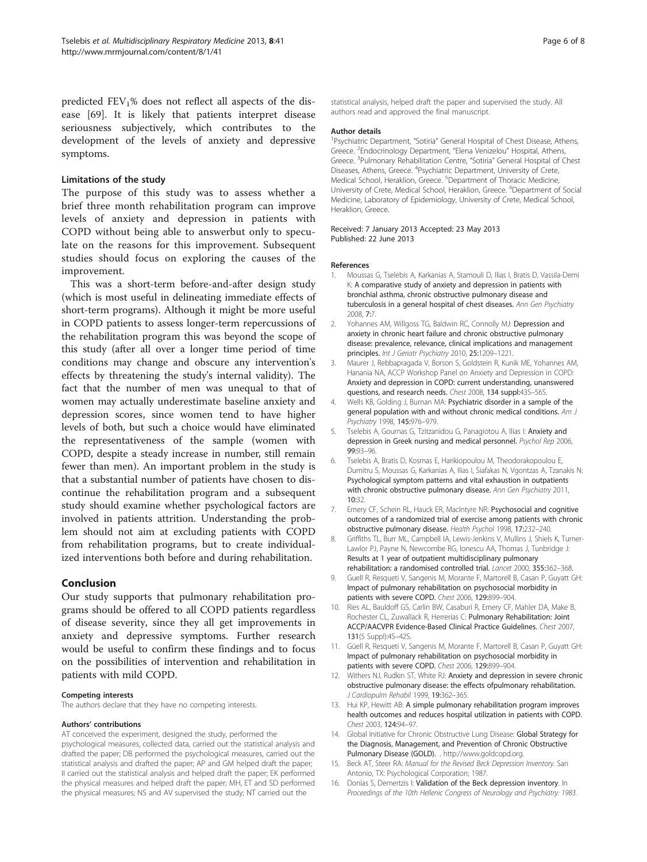<span id="page-5-0"></span>predicted  $FEV<sub>1</sub>%$  does not reflect all aspects of the disease [\[69](#page-7-0)]. It is likely that patients interpret disease seriousness subjectively, which contributes to the development of the levels of anxiety and depressive symptoms.

#### Limitations of the study

The purpose of this study was to assess whether a brief three month rehabilitation program can improve levels of anxiety and depression in patients with COPD without being able to answerbut only to speculate on the reasons for this improvement. Subsequent studies should focus on exploring the causes of the improvement.

This was a short-term before-and-after design study (which is most useful in delineating immediate effects of short-term programs). Although it might be more useful in COPD patients to assess longer-term repercussions of the rehabilitation program this was beyond the scope of this study (after all over a longer time period of time conditions may change and obscure any intervention's effects by threatening the study's internal validity). The fact that the number of men was unequal to that of women may actually underestimate baseline anxiety and depression scores, since women tend to have higher levels of both, but such a choice would have eliminated the representativeness of the sample (women with COPD, despite a steady increase in number, still remain fewer than men). An important problem in the study is that a substantial number of patients have chosen to discontinue the rehabilitation program and a subsequent study should examine whether psychological factors are involved in patients attrition. Understanding the problem should not aim at excluding patients with COPD from rehabilitation programs, but to create individualized interventions both before and during rehabilitation.

### Conclusion

Our study supports that pulmonary rehabilitation programs should be offered to all COPD patients regardless of disease severity, since they all get improvements in anxiety and depressive symptoms. Further research would be useful to confirm these findings and to focus on the possibilities of intervention and rehabilitation in patients with mild COPD.

#### Competing interests

The authors declare that they have no competing interests.

#### Authors' contributions

AT conceived the experiment, designed the study, performed the

psychological measures, collected data, carried out the statistical analysis and drafted the paper; DB performed the psychological measures, carried out the statistical analysis and drafted the paper; AP and GM helped draft the paper; II carried out the statistical analysis and helped draft the paper; EK performed the physical measures and helped draft the paper; MH, ET and SD performed the physical measures; NS and AV supervised the study; NT carried out the

statistical analysis, helped draft the paper and supervised the study. All authors read and approved the final manuscript.

#### Author details

<sup>1</sup>Psychiatric Department, "Sotiria" General Hospital of Chest Disease, Athens, Greece. <sup>2</sup>Endocrinology Department, "Elena Venizelou" Hospital, Athens Greece. <sup>3</sup>Pulmonary Rehabilitation Centre, "Sotiria" General Hospital of Chest Diseases, Athens, Greece. <sup>4</sup>Psychiatric Department, University of Crete, Medical School, Heraklion, Greece. <sup>5</sup>Department of Thoracic Medicine, University of Crete, Medical School, Heraklion, Greece. <sup>6</sup>Department of Social Medicine, Laboratory of Epidemiology, University of Crete, Medical School, Heraklion, Greece.

#### Received: 7 January 2013 Accepted: 23 May 2013 Published: 22 June 2013

#### References

- 1. Moussas G, Tselebis A, Karkanias A, Stamouli D, Ilias I, Bratis D, Vassila-Demi K: A comparative study of anxiety and depression in patients with bronchial asthma, chronic obstructive pulmonary disease and tuberculosis in a general hospital of chest diseases. Ann Gen Psychiatry 2008, 7:7.
- 2. Yohannes AM, Willgoss TG, Baldwin RC, Connolly MJ: Depression and anxiety in chronic heart failure and chronic obstructive pulmonary disease: prevalence, relevance, clinical implications and management principles. Int J Geriatr Psychiatry 2010, 25:1209–1221.
- 3. Maurer J, Rebbapragada V, Borson S, Goldstein R, Kunik ME, Yohannes AM, Hanania NA, ACCP Workshop Panel on Anxiety and Depression in COPD: Anxiety and depression in COPD: current understanding, unanswered questions, and research needs. Chest 2008, 134 suppl:43S–56S.
- 4. Wells KB, Golding J, Burnan MA: Psychiatric disorder in a sample of the general population with and without chronic medical conditions. Am J Psychiatry 1998, 145:976–979.
- Tselebis A, Gournas G, Tzitzanidou G, Panagiotou A, Ilias I: Anxiety and depression in Greek nursing and medical personnel. Psychol Rep 2006, 99:93–96.
- 6. Tselebis A, Bratis D, Kosmas E, Harikiopoulou M, Theodorakopoulou E, Dumitru S, Moussas G, Karkanias A, Ilias I, Siafakas N, Vgontzas A, Tzanakis N: Psychological symptom patterns and vital exhaustion in outpatients with chronic obstructive pulmonary disease. Ann Gen Psychiatry 2011,  $10.32$
- 7. Emery CF, Schein RL, Hauck ER, MacIntyre NR: Psychosocial and cognitive outcomes of a randomized trial of exercise among patients with chronic obstructive pulmonary disease. Health Psychol 1998, 17:232–240.
- 8. Griffiths TL, Burr ML, Campbell IA, Lewis-Jenkins V, Mullins J, Shiels K, Turner-Lawlor PJ, Payne N, Newcombe RG, Ionescu AA, Thomas J, Tunbridge J: Results at 1 year of outpatient multidisciplinary pulmonary rehabilitation: a randomised controlled trial. Lancet 2000, 355:362–368.
- 9. Guell R, Resqueti V, Sangenis M, Morante F, Martorell B, Casan P, Guyatt GH: Impact of pulmonary rehabilitation on psychosocial morbidity in patients with severe COPD. Chest 2006, 129:899–904.
- 10. Ries AL, Bauldoff GS, Carlin BW, Casaburi R, Emery CF, Mahler DA, Make B, Rochester CL, Zuwallack R, Herrerias C: Pulmonary Rehabilitation: Joint ACCP/AACVPR Evidence-Based Clinical Practice Guidelines. Chest 2007, 131(5 Suppl):4S–42S.
- 11. Güell R, Resqueti V, Sangenis M, Morante F, Martorell B, Casan P, Guyatt GH: Impact of pulmonary rehabilitation on psychosocial morbidity in patients with severe COPD. Chest 2006, 129:899-904
- 12. Withers NJ, Rudkin ST, White RJ: Anxiety and depression in severe chronic obstructive pulmonary disease: the effects ofpulmonary rehabilitation. J Cardiopulm Rehabil 1999, 19:362–365.
- 13. Hui KP, Hewitt AB: A simple pulmonary rehabilitation program improves health outcomes and reduces hospital utilization in patients with COPD. Chest 2003, 124:94–97.
- 14. Global Initiative for Chronic Obstructive Lung Disease: Global Strategy for the Diagnosis, Management, and Prevention of Chronic Obstructive Pulmonary Disease (GOLD). . http://www.goldcopd.org.
- 15. Beck AT, Steer RA: Manual for the Revised Beck Depression Inventory. San Antonio, TX: Psychological Corporation; 1987.
- 16. Donias S, Demertzis I: Validation of the Beck depression inventory. In Proceedings of the 10th Hellenic Congress of Neurology and Psychiatry: 1983.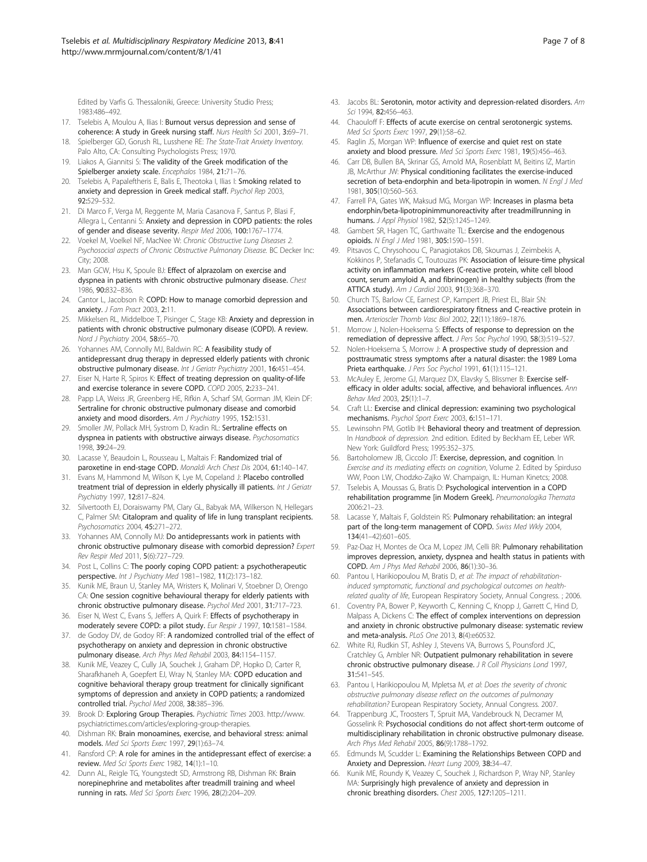<span id="page-6-0"></span>Edited by Varfis G. Thessaloniki, Greece: University Studio Press; 1983:486–492.

- 17. Tselebis A, Moulou A, Ilias I: Burnout versus depression and sense of coherence: A study in Greek nursing staff. Nurs Health Sci 2001, 3:69–71.
- 18. Spielberger GD, Gorush RL, Lusshene RE: The State-Trait Anxiety Inventory. Palo Alto, CA: Consulting Psychologists Press; 1970.
- 19. Liakos A, Giannitsi S: The validity of the Greek modification of the Spielberger anxiety scale. Encephalos 1984, 21:71–76.
- 20. Tselebis A, Papaleftheris E, Balis E, Theotoka I, Ilias I: Smoking related to anxiety and depression in Greek medical staff. Psychol Rep 2003, 92:529–532.
- 21. Di Marco F, Verga M, Reggente M, Maria Casanova F, Santus P, Blasi F, Allegra L, Centanni S: Anxiety and depression in COPD patients: the roles of gender and disease severity. Respir Med 2006, 100:1767–1774.
- 22. Voekel M, Voelkel NF, MacNee W: Chronic Obstructive Lung Diseases 2. Psychosocial aspects of Chronic Obstructive Pulmonary Disease. BC Decker Inc: City; 2008.
- 23. Man GCW, Hsu K, Spoule BJ: Effect of alprazolam on exercise and dyspnea in patients with chronic obstructive pulmonary disease. Chest 1986, 90:832–836.
- 24. Cantor L, Jacobson R: COPD: How to manage comorbid depression and anxiety. J Fam Pract 2003, 2:11.
- 25. Mikkelsen RL, Middelboe T, Pisinger C, Stage KB: Anxiety and depression in patients with chronic obstructive pulmonary disease (COPD). A review. Nord J Psychiatry 2004, 58:65–70.
- 26. Yohannes AM, Connolly MJ, Baldwin RC: A feasibility study of antidepressant drug therapy in depressed elderly patients with chronic obstructive pulmonary disease. Int J Geriatr Psychiatry 2001, 16:451-454.
- 27. Eiser N, Harte R, Spiros K: Effect of treating depression on quality-of-life and exercise tolerance in severe COPD. COPD 2005, 2:233–241.
- 28. Papp LA, Weiss JR, Greenberg HE, Rifkin A, Scharf SM, Gorman JM, Klein DF: Sertraline for chronic obstructive pulmonary disease and comorbid anxiety and mood disorders. Am J Psychiatry 1995, 152:1531.
- 29. Smoller JW, Pollack MH, Systrom D, Kradin RL: Sertraline effects on dyspnea in patients with obstructive airways disease. Psychosomatics 1998, 39:24–29.
- 30. Lacasse Y, Beaudoin L, Rousseau L, Maltais F: Randomized trial of paroxetine in end-stage COPD. Monaldi Arch Chest Dis 2004, 61:140-147.
- 31. Evans M, Hammond M, Wilson K, Lye M, Copeland J: Placebo controlled treatment trial of depression in elderly physically ill patients. Int J Geriatr Psychiatry 1997, 12:817–824.
- 32. Silvertooth EJ, Doraiswamy PM, Clary GL, Babyak MA, Wilkerson N, Hellegars C, Palmer SM: Citalopram and quality of life in lung transplant recipients. Psychosomatics 2004, 45:271–272.
- 33. Yohannes AM, Connolly MJ: Do antidepressants work in patients with chronic obstructive pulmonary disease with comorbid depression? Expert Rev Respir Med 2011, 5(6):727–729.
- 34. Post L, Collins C: The poorly coping COPD patient: a psychotherapeutic perspective. Int J Psychiatry Med 1981–1982, 11(2):173–182.
- 35. Kunik ME, Braun U, Stanley MA, Wristers K, Molinari V, Stoebner D, Orengo CA: One session cognitive behavioural therapy for elderly patients with chronic obstructive pulmonary disease. Psychol Med 2001, 31:717–723.
- 36. Eiser N, West C, Evans S, Jeffers A, Quirk F: Effects of psychotherapy in moderately severe COPD: a pilot study. Eur Respir J 1997, 10:1581-1584
- 37. de Godoy DV, de Godoy RF: A randomized controlled trial of the effect of psychotherapy on anxiety and depression in chronic obstructive pulmonary disease. Arch Phys Med Rehabil 2003, 84:1154–1157.
- 38. Kunik ME, Veazey C, Cully JA, Souchek J, Graham DP, Hopko D, Carter R, Sharafkhaneh A, Goepfert EJ, Wray N, Stanley MA: COPD education and cognitive behavioral therapy group treatment for clinically significant symptoms of depression and anxiety in COPD patients; a randomized controlled trial. Psychol Med 2008, 38:385–396.
- 39. Brook D: Exploring Group Therapies. Psychiatric Times 2003. http://www. psychiatrictimes.com/articles/exploring-group-therapies.
- 40. Dishman RK: Brain monoamines, exercise, and behavioral stress: animal models. Med Sci Sports Exerc 1997, 29(1):63–74.
- 41. Ransford CP: A role for amines in the antidepressant effect of exercise: a review. Med Sci Sports Exerc 1982, 14(1):1–10.
- 42. Dunn AL, Reigle TG, Youngstedt SD, Armstrong RB, Dishman RK: Brain norepinephrine and metabolites after treadmill training and wheel running in rats. Med Sci Sports Exerc 1996, 28(2):204–209.
- 43. Jacobs BL: Serotonin, motor activity and depression-related disorders. Am Sci 1994, 82:456–463.
- 44. Chaouloff F: Effects of acute exercise on central serotonergic systems. Med Sci Sports Exerc 1997, 29(1):58–62.
- 45. Raglin JS, Morgan WP: Influence of exercise and quiet rest on state anxiety and blood pressure. Med Sci Sports Exerc 1981, 19(5):456–463.
- 46. Carr DB, Bullen BA, Skrinar GS, Arnold MA, Rosenblatt M, Beitins IZ, Martin JB, McArthur JW: Physical conditioning facilitates the exercise-induced secretion of beta-endorphin and beta-lipotropin in women. N Engl J Med 1981, 305(10):560–563.
- 47. Farrell PA, Gates WK, Maksud MG, Morgan WP: Increases in plasma beta endorphin/beta-lipotropinimmunoreactivity after treadmillrunning in humans. J Appl Physiol 1982, 52(5):1245–1249.
- 48. Gambert SR, Hagen TC, Garthwaite TL: Exercise and the endogenous opioids. N Engl J Med 1981, 305:1590–1591.
- 49. Pitsavos C, Chrysohoou C, Panagiotakos DB, Skoumas J, Zeimbekis A, Kokkinos P, Stefanadis C, Toutouzas PK: Association of leisure-time physical activity on inflammation markers (C-reactive protein, white cell blood count, serum amyloid A, and fibrinogen) in healthy subjects (from the ATTICA study). Am J Cardiol 2003, 91(3):368–370.
- 50. Church TS, Barlow CE, Earnest CP, Kampert JB, Priest EL, Blair SN: Associations between cardiorespiratory fitness and C-reactive protein in men. Arterioscler Thomb Vasc Biol 2002, 22(11):1869–1876.
- 51. Morrow J, Nolen-Hoeksema S: Effects of response to depression on the remediation of depressive affect. J Pers Soc Psychol 1990, 58(3):519-527.
- 52. Nolen-Hoeksema S, Morrow J: A prospective study of depression and posttraumatic stress symptoms after a natural disaster: the 1989 Loma Prieta earthquake. J Pers Soc Psychol 1991, 61(1):115-121.
- McAuley E, Jerome GJ, Marquez DX, Elavsky S, Blissmer B: Exercise selfefficacy in older adults: social, affective, and behavioral influences. Ann Behav Med 2003, 25(1):1–7.
- 54. Craft LL: Exercise and clinical depression: examining two psychological mechanisms. Psychol Sport Exerc 2003, 6:151–171.
- 55. Lewinsohn PM, Gotlib IH: Behavioral theory and treatment of depression. In Handbook of depression. 2nd edition. Edited by Beckham EE, Leber WR. New York: Guildford Press; 1995:352–375.
- 56. Bartoholomew JB, Ciccolo JT: Exercise, depression, and cognition. In Exercise and its mediating effects on cognition, Volume 2. Edited by Spirduso WW, Poon LW, Chodzko-Zajko W. Champaign, IL: Human Kinetcs; 2008.
- 57. Tselebis A, Moussas G, Bratis D: Psychological intervention in a COPD rehabilitation programme [in Modern Greek]. Pneumonologika Themata 2006:21–23.
- 58. Lacasse Y, Maltais F, Goldstein RS: Pulmonary rehabilitation: an integral part of the long-term management of COPD. Swiss Med Wkly 2004, 134(41–42):601–605.
- 59. Paz-Dıaz H, Montes de Oca M, Lopez JM, Celli BR: Pulmonary rehabilitation improves depression, anxiety, dyspnea and health status in patients with COPD. Am J Phys Med Rehabil 2006, 86(1):30–36.
- 60. Pantou I, Harikiopoulou M, Bratis D, et al: The impact of rehabilitationinduced symptomatic, functional and psychological outcomes on healthrelated quality of life, European Respiratory Society, Annual Congress. ; 2006.
- 61. Coventry PA, Bower P, Keyworth C, Kenning C, Knopp J, Garrett C, Hind D, Malpass A, Dickens C: The effect of complex interventions on depression and anxiety in chronic obstructive pulmonary disease: systematic review and meta-analysis. PLoS One 2013, 8(4):e60532.
- 62. White RJ, Rudkin ST, Ashley J, Stevens VA, Burrows S, Pounsford JC, Cratchley G, Ambler NR: Outpatient pulmonary rehabilitation in severe chronic obstructive pulmonary disease. J R Coll Physicians Lond 1997, 31:541–545.
- 63. Pantou I, Harikiopoulou M, Mpletsa M, et al: Does the severity of chronic obstructive pulmonary disease reflect on the outcomes of pulmonary rehabilitation? European Respiratory Society, Annual Congress. 2007.
- 64. Trappenburg JC, Troosters T, Spruit MA, Vandebrouck N, Decramer M, Gosselink R: Psychosocial conditions do not affect short-term outcome of multidisciplinary rehabilitation in chronic obstructive pulmonary disease. Arch Phys Med Rehabil 2005, 86(9):1788–1792.
- 65. Edmunds M, Scudder L: Examining the Relationships Between COPD and Anxiety and Depression. Heart Lung 2009, 38:34–47.
- 66. Kunik ME, Roundy K, Veazey C, Souchek J, Richardson P, Wray NP, Stanley MA: Surprisingly high prevalence of anxiety and depression in chronic breathing disorders. Chest 2005, 127:1205–1211.